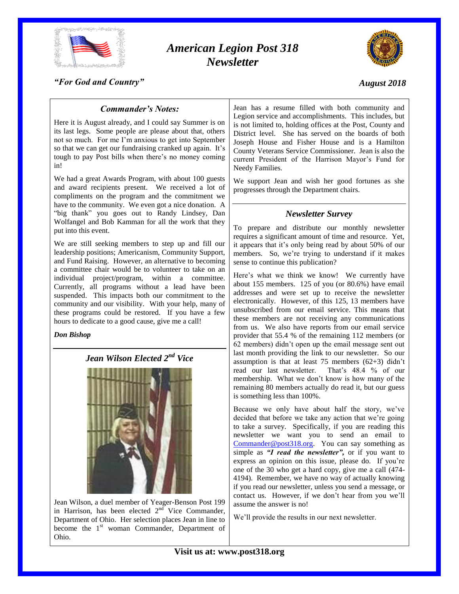

# *American Legion Post 318 Newsletter*



#### *"For God and Country"*

#### *August 2018*

### *Commander's Notes:*

Here it is August already, and I could say Summer is on its last legs. Some people are please about that, others not so much. For me I'm anxious to get into September so that we can get our fundraising cranked up again. It's tough to pay Post bills when there's no money coming in!

We had a great Awards Program, with about 100 guests and award recipients present. We received a lot of compliments on the program and the commitment we have to the community. We even got a nice donation. A "big thank" you goes out to Randy Lindsey, Dan Wolfangel and Bob Kamman for all the work that they put into this event.

We are still seeking members to step up and fill our leadership positions; Americanism, Community Support, and Fund Raising. However, an alternative to becoming a committee chair would be to volunteer to take on an individual project/program, within a committee. Currently, all programs without a lead have been suspended. This impacts both our commitment to the community and our visibility. With your help, many of these programs could be restored. If you have a few hours to dedicate to a good cause, give me a call!

#### *Don Bishop*

## *Jean Wilson Elected 2nd Vice*



Jean Wilson, a duel member of Yeager-Benson Post 199 in Harrison, has been elected  $2<sup>nd</sup>$  Vice Commander, Department of Ohio. Her selection places Jean in line to become the 1<sup>st</sup> woman Commander, Department of Ohio.

Jean has a resume filled with both community and Legion service and accomplishments. This includes, but is not limited to, holding offices at the Post, County and District level. She has served on the boards of both Joseph House and Fisher House and is a Hamilton County Veterans Service Commissioner. Jean is also the current President of the Harrison Mayor's Fund for Needy Families.

We support Jean and wish her good fortunes as she progresses through the Department chairs.

#### *Newsletter Survey*

To prepare and distribute our monthly newsletter requires a significant amount of time and resource. Yet, it appears that it's only being read by about 50% of our members. So, we're trying to understand if it makes sense to continue this publication?

Here's what we think we know! We currently have about 155 members. 125 of you (or 80.6%) have email addresses and were set up to receive the newsletter electronically. However, of this 125, 13 members have unsubscribed from our email service. This means that these members are not receiving any communications from us. We also have reports from our email service provider that 55.4 % of the remaining 112 members (or 62 members) didn't open up the email message sent out last month providing the link to our newsletter. So our assumption is that at least 75 members  $(62+3)$  didn't read our last newsletter. That's 48.4 % of our membership. What we don't know is how many of the remaining 80 members actually do read it, but our guess is something less than 100%.

Because we only have about half the story, we've decided that before we take any action that we're going to take a survey. Specifically, if you are reading this newsletter we want you to send an email to [Commander@post318.org.](mailto:Commander@post318.org) You can say something as simple as *"I read the newsletter",* or if you want to express an opinion on this issue, please do. If you're one of the 30 who get a hard copy, give me a call (474- 4194). Remember, we have no way of actually knowing if you read our newsletter, unless you send a message, or contact us. However, if we don't hear from you we'll assume the answer is no!

We'll provide the results in our next newsletter.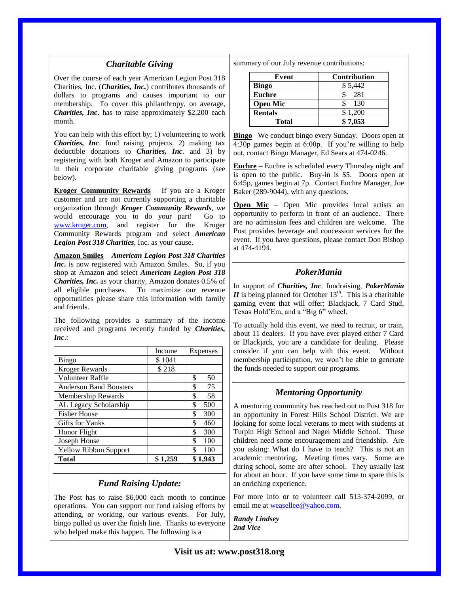#### *Charitable Giving*

Over the course of each year American Legion Post 318 Charities, Inc. (*Charities, Inc.*) contributes thousands of dollars to programs and causes important to our membership. To cover this philanthropy, on average, *Charities, Inc*. has to raise approximately \$2,200 each month.

You can help with this effort by; 1) volunteering to work *Charities, Inc*. fund raising projects, 2) making tax deductible donations to *Charities, Inc*. and 3) by registering with both Kroger and Amazon to participate in their corporate charitable giving programs (see below).

**Kroger Community Rewards** – If you are a Kroger customer and are not currently supporting a charitable organization through *Kroger Community Rewards*, we would encourage you to do your part! Go to [www.kroger.com,](http://www.kroger.com/) and register for the Kroger Community Rewards program and select *American Legion Post 318 Charities*, Inc. as your cause.

**Amazon Smiles** – *American Legion Post 318 Charities Inc.* is now registered with Amazon Smiles. So, if you shop at Amazon and select *American Legion Post 318 Charities, Inc.* as your charity, Amazon donates 0.5% of all eligible purchases. To maximize our revenue opportunities please share this information with family and friends.

The following provides a summary of the income received and programs recently funded by *Charities, Inc*.:

|                               | Income  | Expenses  |
|-------------------------------|---------|-----------|
| <b>Bingo</b>                  | \$1041  |           |
| <b>Kroger Rewards</b>         | \$218   |           |
| Volunteer Raffle              |         | \$<br>50  |
| <b>Anderson Band Boosters</b> |         | \$<br>75  |
| Membership Rewards            |         | \$<br>58  |
| AL Legacy Scholarship         |         | \$<br>500 |
| <b>Fisher House</b>           |         | \$<br>300 |
| <b>Gifts for Yanks</b>        |         | \$<br>460 |
| Honor Flight                  |         | \$<br>300 |
| Joseph House                  |         | \$<br>100 |
| <b>Yellow Ribbon Support</b>  |         | \$<br>100 |
| <b>Total</b>                  | \$1.259 | \$1.943   |

#### *Fund Raising Update:*

The Post has to raise \$6,000 each month to continue operations. You can support our fund raising efforts by attending, or working, our various events. For July, bingo pulled us over the finish line. Thanks to everyone who helped make this happen. The following is a

summary of our July revenue contributions:

| Event           | <b>Contribution</b> |
|-----------------|---------------------|
| <b>Bingo</b>    | \$5,442             |
| <b>Euchre</b>   | 281                 |
| <b>Open Mic</b> | 130                 |
| <b>Rentals</b>  | \$1,200             |
| Total           | \$7.053             |

**Bingo** –We conduct bingo every Sunday. Doors open at 4:30p games begin at 6:00p. If you're willing to help out, contact Bingo Manager, Ed Sears at 474-0246.

**Euchre** – Euchre is scheduled every Thursday night and is open to the public. Buy-in is \$5. Doors open at 6:45p, games begin at 7p. Contact Euchre Manager, Joe Baker (289-9044), with any questions.

**Open Mic** – Open Mic provides local artists an opportunity to perform in front of an audience. There are no admission fees and children are welcome. The Post provides beverage and concession services for the event. If you have questions, please contact Don Bishop at 474-4194.

#### *PokerMania*

In support of *Charities, Inc*. fundraising, *PokerMania*   $II$  is being planned for October 13<sup>th</sup>. This is a charitable gaming event that will offer; Blackjack, 7 Card Stud, Texas Hold'Em, and a "Big 6" wheel.

To actually hold this event, we need to recruit, or train, about 11 dealers. If you have ever played either 7 Card or Blackjack, you are a candidate for dealing. Please consider if you can help with this event. Without membership participation, we won't be able to generate the funds needed to support our programs.

## *Mentoring Opportunity*

A mentoring community has reached out to Post 318 for an opportunity in Forest Hills School District. We are looking for some local veterans to meet with students at Turpin High School and Nagel Middle School. These children need some encouragement and friendship. Are you asking: What do I have to teach? This is not an academic mentoring. Meeting times vary. Some are during school, some are after school. They usually last for about an hour. If you have some time to spare this is an enriching experience.

For more info or to volunteer call 513-374-2099, or email me at [weasellee@yahoo.com.](mailto:weasellee@yahoo.com)

*Randy Lindsey 2nd Vice*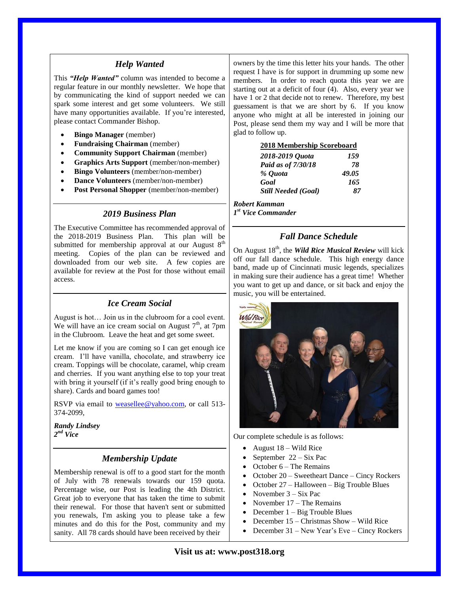#### *Help Wanted*

This *"Help Wanted"* column was intended to become a regular feature in our monthly newsletter. We hope that by communicating the kind of support needed we can spark some interest and get some volunteers. We still have many opportunities available. If you're interested, please contact Commander Bishop.

- **Bingo Manager** (member)
- **Fundraising Chairman** (member)
- **Community Support Chairman** (member)
- **Graphics Arts Support** (member/non-member)
- **Bingo Volunteers** (member/non-member)
- **Dance Volunteers** (member/non-member)
- **Post Personal Shopper** (member/non-member)

### *2019 Business Plan*

The Executive Committee has recommended approval of the 2018-2019 Business Plan. This plan will be submitted for membership approval at our August  $8<sup>th</sup>$ meeting. Copies of the plan can be reviewed and downloaded from our web site. A few copies are available for review at the Post for those without email access.

## *Ice Cream Social*

August is hot… Join us in the clubroom for a cool event. We will have an ice cream social on August  $7<sup>th</sup>$ , at  $7<sup>ph</sup>$ in the Clubroom. Leave the heat and get some sweet.

Let me know if you are coming so I can get enough ice cream. I'll have vanilla, chocolate, and strawberry ice cream. Toppings will be chocolate, caramel, whip cream and cherries. If you want anything else to top your treat with bring it yourself (if it's really good bring enough to share). Cards and board games too!

RSVP via email to [weasellee@yahoo.com,](mailto:weasellee@yahoo.com) or call 513-374-2099,

*Randy Lindsey 2 nd Vice*

#### *Membership Update*

Membership renewal is off to a good start for the month of July with 78 renewals towards our 159 quota. Percentage wise, our Post is leading the 4th District. Great job to everyone that has taken the time to submit their renewal. For those that haven't sent or submitted you renewals, I'm asking you to please take a few minutes and do this for the Post, community and my sanity. All 78 cards should have been received by their

owners by the time this letter hits your hands. The other request I have is for support in drumming up some new members. In order to reach quota this year we are starting out at a deficit of four (4). Also, every year we have 1 or 2 that decide not to renew. Therefore, my best guessament is that we are short by 6. If you know anyone who might at all be interested in joining our Post, please send them my way and I will be more that glad to follow up.

#### **2018 Membership Scoreboard**

| 2018-2019 Quota            | 159   |
|----------------------------|-------|
| Paid as of 7/30/18         | 78    |
| % Ouota                    | 49.05 |
| Goal                       | 165   |
| <b>Still Needed (Goal)</b> | 87    |
|                            |       |

#### *Robert Kamman*

*1 st Vice Commander*

## *Fall Dance Schedule*

On August 18<sup>th</sup>, the *Wild Rice Musical Review* will kick off our fall dance schedule. This high energy dance band, made up of Cincinnati music legends, specializes in making sure their audience has a great time! Whether you want to get up and dance, or sit back and enjoy the music, you will be entertained.



Our complete schedule is as follows:

- August 18 Wild Rice
- September 22 Six Pac
- October 6 The Remains
- October 20 Sweetheart Dance Cincy Rockers
- October 27 Halloween Big Trouble Blues
- November 3 Six Pac
- November 17 The Remains
- December 1 Big Trouble Blues
- December 15 Christmas Show Wild Rice
- December 31 New Year's Eve Cincy Rockers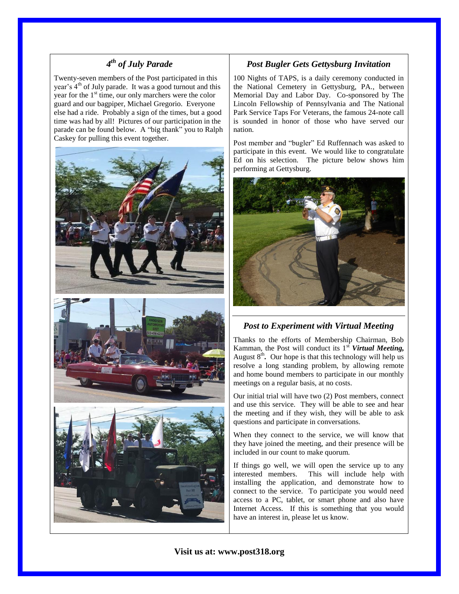## *4 th of July Parade*

Twenty-seven members of the Post participated in this year's 4<sup>th</sup> of July parade. It was a good turnout and this year for the  $1<sup>st</sup>$  time, our only marchers were the color guard and our bagpiper, Michael Gregorio. Everyone else had a ride. Probably a sign of the times, but a good time was had by all! Pictures of our participation in the parade can be found below. A "big thank" you to Ralph Caskey for pulling this event together.



## *Post Bugler Gets Gettysburg Invitation*

100 Nights of TAPS, is a daily ceremony conducted in the National Cemetery in Gettysburg, PA., between Memorial Day and Labor Day. Co-sponsored by The Lincoln Fellowship of Pennsylvania and The National Park Service Taps For Veterans, the famous 24-note call is sounded in honor of those who have served our nation.

Post member and "bugler" Ed Ruffennach was asked to participate in this event. We would like to congratulate Ed on his selection. The picture below shows him performing at Gettysburg.



## *Post to Experiment with Virtual Meeting*

Thanks to the efforts of Membership Chairman, Bob Kamman, the Post will conduct its 1<sup>st</sup> **Virtual Meeting,** August 8<sup>th</sup>. Our hope is that this technology will help us resolve a long standing problem, by allowing remote and home bound members to participate in our monthly meetings on a regular basis, at no costs.

Our initial trial will have two (2) Post members, connect and use this service. They will be able to see and hear the meeting and if they wish, they will be able to ask questions and participate in conversations.

When they connect to the service, we will know that they have joined the meeting, and their presence will be included in our count to make quorum.

If things go well, we will open the service up to any interested members. This will include help with installing the application, and demonstrate how to connect to the service. To participate you would need access to a PC, tablet, or smart phone and also have Internet Access. If this is something that you would have an interest in, please let us know.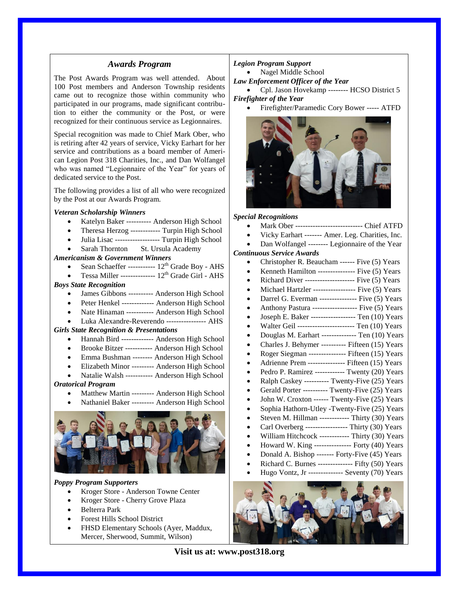#### *Awards Program*

The Post Awards Program was well attended. About 100 Post members and Anderson Township residents came out to recognize those within community who participated in our programs, made significant contribution to either the community or the Post, or were recognized for their continuous service as Legionnaires.

Special recognition was made to Chief Mark Ober, who is retiring after 42 years of service, Vicky Earhart for her service and contributions as a board member of American Legion Post 318 Charities, Inc., and Dan Wolfangel who was named "Legionnaire of the Year" for years of dedicated service to the Post.

The following provides a list of all who were recognized by the Post at our Awards Program.

#### *Veteran Scholarship Winners*

- Katelyn Baker ---------- Anderson High School
- Theresa Herzog ------------ Turpin High School
- Julia Lisac ------------------ Turpin High School
- Sarah Thornton St. Ursula Academy

#### *Americanism & Government Winners*

- Sean Schaeffer -----------  $12^{th}$  Grade Boy AHS
- Tessa Miller ---------------  $12^{th}$  Grade Girl AHS

#### *Boys State Recognition*

- James Gibbons ---------- Anderson High School
- Peter Henkel ------------- Anderson High School
- Nate Hinaman ----------- Anderson High School
- Luka Alexandre-Reverendo ---------------- AHS

#### *Girls State Recognition & Presentations*

- Hannah Bird ------------- Anderson High School
- Brooke Bitzer ----------- Anderson High School
- Emma Bushman -------- Anderson High School
- Elizabeth Minor --------- Anderson High School
- Natalie Walsh ----------- Anderson High School

#### *Oratorical Program*

- Matthew Martin --------- Anderson High School
- Nathaniel Baker --------- Anderson High School



#### *Poppy Program Supporters*

- Kroger Store Anderson Towne Center
- Kroger Store Cherry Grove Plaza
- Belterra Park
- Forest Hills School District
- FHSD Elementary Schools (Ayer, Maddux, Mercer, Sherwood, Summit, Wilson)

#### *Legion Program Support*

• Nagel Middle School

*Law Enforcement Officer of the Year*

 Cpl. Jason Hovekamp -------- HCSO District 5 *Firefighter of the Year*

Firefighter/Paramedic Cory Bower ----- ATFD



#### *Special Recognitions*

- Mark Ober --------------------------- Chief ATFD
- Vicky Earhart ------- Amer. Leg. Charities, Inc.
- Dan Wolfangel -------- Legionnaire of the Year

#### *Continuous Service Awards*

- Christopher R. Beaucham ------ Five (5) Years
- Kenneth Hamilton --------------- Five (5) Years
- Richard Diver -------------------- Five (5) Years
- Michael Hartzler ----------------- Five (5) Years
- Darrel G. Everman --------------- Five (5) Years
- Anthony Pastura ------------------ Five (5) Years
- Joseph E. Baker ------------------ Ten (10) Years
- Walter Geil ----------------------- Ten (10) Years
- Douglas M. Earhart -------------- Ten (10) Years
- Charles J. Behymer ---------- Fifteen (15) Years
- Roger Siegman ----------------- Fifteen (15) Years
- Adrienne Prem --------------- Fifteen (15) Years
- Pedro P. Ramirez ------------ Twenty (20) Years Ralph Caskey ---------- Twenty-Five (25) Years
- Gerald Porter ---------- Twenty-Five (25) Years
- John W. Croxton ------ Twenty-Five (25) Years
- Sophia Hathorn-Utley -Twenty-Five (25) Years
- Steven M. Hillman ------------ Thirty (30) Years
- Carl Overberg ----------------- Thirty (30) Years
- William Hitchcock ------------ Thirty (30) Years
- Howard W. King --------------- Forty (40) Years
- Donald A. Bishop ------- Forty-Five (45) Years
- Richard C. Burnes -------------- Fifty (50) Years
- Hugo Vontz, Jr -------------- Seventy (70) Years